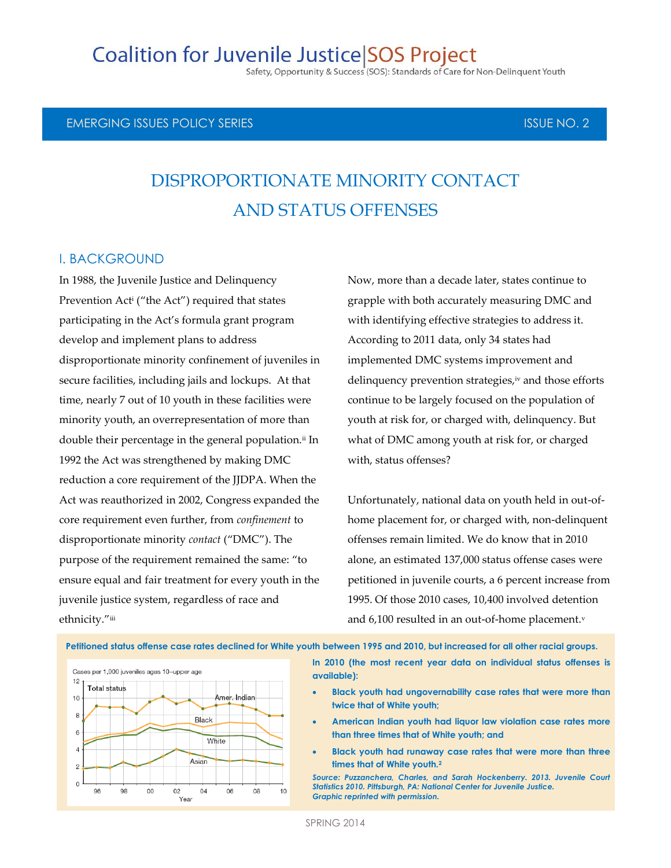# **Coalition for Juvenile Justice SOS Project**

Safety, Opportunity & Success (SOS): Standards of Care for Non-Delinquent Youth

### EMERGING ISSUES POLICY SERIES ISSUE NO. 2

# DISPROPORTIONATE MINORITY CONTACT AND STATUS OFFENSES

### I. BACKGROUND

In 1988, the Juvenile Justice and Delinquency Prevention Act<sup>i</sup> ("the Act") required that states participating in the Act's formula grant program develop and implement plans to address disproportionate minority confinement of juveniles in secure facilities, including jails and lockups. At that time, nearly 7 out of 10 youth in these facilities were minority youth, an overrepresentation of more than double their percentage in the general population.<sup>ii</sup> In 1992 the Act was strengthened by making DMC reduction a core requirement of the JJDPA. When the Act was reauthorized in 2002, Congress expanded the core requirement even further, from *confinement* to disproportionate minority *contact* ("DMC"). The purpose of the requirement remained the same: "to ensure equal and fair treatment for every youth in the juvenile justice system, regardless of race and ethnicity."iii

Now, more than a decade later, states continue to grapple with both accurately measuring DMC and with identifying effective strategies to address it. According to 2011 data, only 34 states had implemented DMC systems improvement and delinquency prevention strategies, iv and those efforts continue to be largely focused on the population of youth at risk for, or charged with, delinquency. But what of DMC among youth at risk for, or charged with, status offenses?

Unfortunately, national data on youth held in out-ofhome placement for, or charged with, non-delinquent offenses remain limited. We do know that in 2010 alone, an estimated 137,000 status offense cases were petitioned in juvenile courts, a 6 percent increase from 1995. Of those 2010 cases, 10,400 involved detention and 6,100 resulted in an out-of-home placement.v

**Petitioned status offense case rates declined for White youth between 1995 and 2010, but increased for all other racial groups.** 



**In 2010 (the most recent year data on individual status offenses is available):**

- **Black youth had ungovernability case rates that were more than twice that of White youth;**
- **American Indian youth had liquor law violation case rates more than three times that of White youth; and**
- **Black youth had runaway case rates that were more than three times that of White youth.<sup>2</sup>**

Source: Puzzanchera, Charles, and Sarah Hockenberry. 2013. Juvenile Court *Statistics 2010. Pittsburgh, PA: National Center for Juvenile Justice. Graphic reprinted with permission.*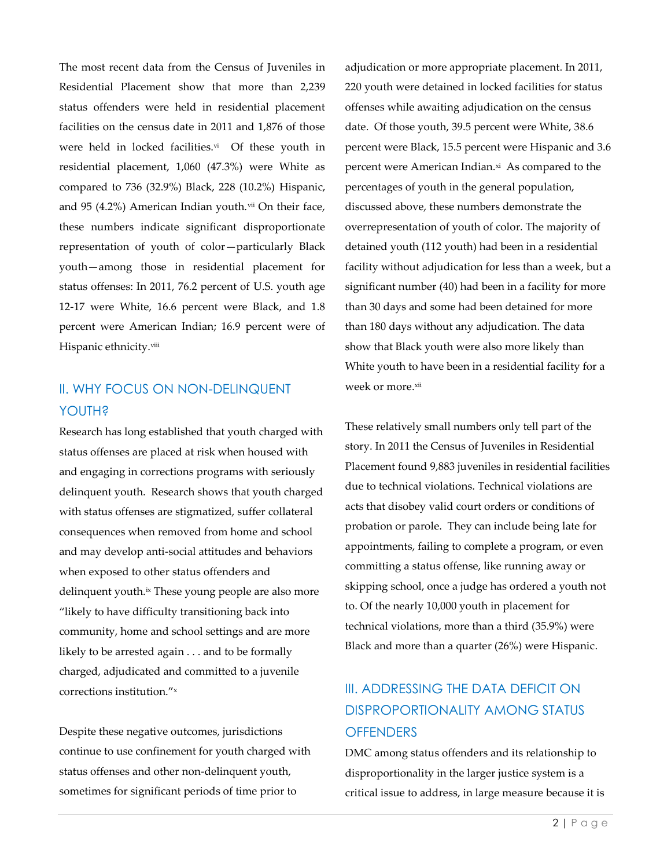The most recent data from the Census of Juveniles in Residential Placement show that more than 2,239 status offenders were held in residential placement facilities on the census date in 2011 and 1,876 of those were held in locked facilities.<sup>vi</sup> Of these youth in residential placement, 1,060 (47.3%) were White as compared to 736 (32.9%) Black, 228 (10.2%) Hispanic, and 95 (4.2%) American Indian youth. $vii$  On their face, these numbers indicate significant disproportionate representation of youth of color—particularly Black youth—among those in residential placement for status offenses: In 2011, 76.2 percent of U.S. youth age 12-17 were White, 16.6 percent were Black, and 1.8 percent were American Indian; 16.9 percent were of Hispanic ethnicity.viii

### II. WHY FOCUS ON NON-DELINQUENT YOUTH?

Research has long established that youth charged with status offenses are placed at risk when housed with and engaging in corrections programs with seriously delinquent youth. Research shows that youth charged with status offenses are stigmatized, suffer collateral consequences when removed from home and school and may develop anti-social attitudes and behaviors when exposed to other status offenders and delinquent youth.ix These young people are also more "likely to have difficulty transitioning back into community, home and school settings and are more likely to be arrested again . . . and to be formally charged, adjudicated and committed to a juvenile corrections institution."<sup>x</sup>

Despite these negative outcomes, jurisdictions continue to use confinement for youth charged with status offenses and other non-delinquent youth, sometimes for significant periods of time prior to

adjudication or more appropriate placement. In 2011, 220 youth were detained in locked facilities for status offenses while awaiting adjudication on the census date. Of those youth, 39.5 percent were White, 38.6 percent were Black, 15.5 percent were Hispanic and 3.6 percent were American Indian.¤i As compared to the percentages of youth in the general population, discussed above, these numbers demonstrate the overrepresentation of youth of color. The majority of detained youth (112 youth) had been in a residential facility without adjudication for less than a week, but a significant number (40) had been in a facility for more than 30 days and some had been detained for more than 180 days without any adjudication. The data show that Black youth were also more likely than White youth to have been in a residential facility for a week or more.xii

These relatively small numbers only tell part of the story. In 2011 the Census of Juveniles in Residential Placement found 9,883 juveniles in residential facilities due to technical violations. Technical violations are acts that disobey valid court orders or conditions of probation or parole. They can include being late for appointments, failing to complete a program, or even committing a status offense, like running away or skipping school, once a judge has ordered a youth not to. Of the nearly 10,000 youth in placement for technical violations, more than a third (35.9%) were Black and more than a quarter (26%) were Hispanic.

# III. ADDRESSING THE DATA DEFICIT ON DISPROPORTIONALITY AMONG STATUS **OFFENDERS**

DMC among status offenders and its relationship to disproportionality in the larger justice system is a critical issue to address, in large measure because it is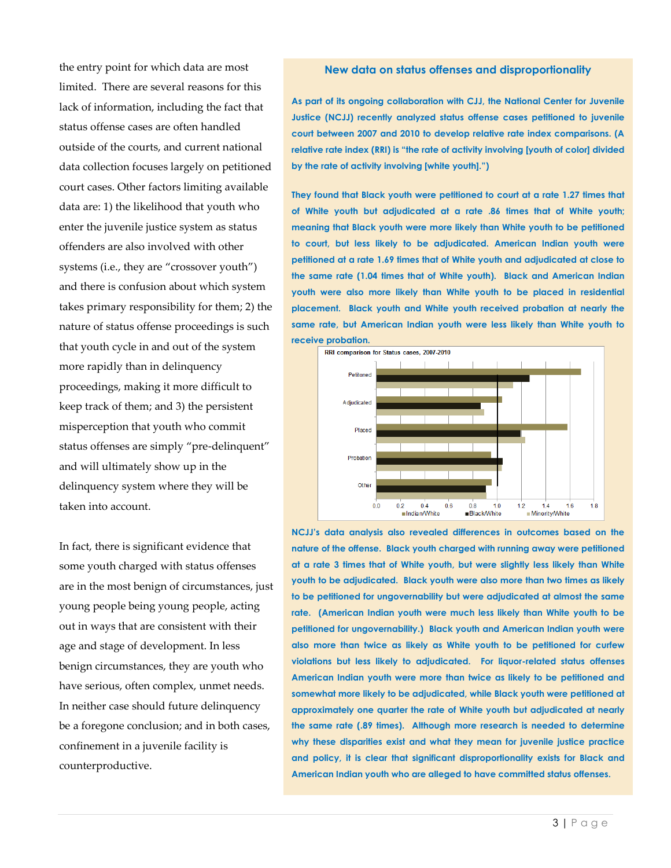the entry point for which data are most limited. There are several reasons for this lack of information, including the fact that status offense cases are often handled outside of the courts, and current national data collection focuses largely on petitioned court cases. Other factors limiting available data are: 1) the likelihood that youth who enter the juvenile justice system as status offenders are also involved with other systems (i.e., they are "crossover youth") and there is confusion about which system takes primary responsibility for them; 2) the nature of status offense proceedings is such that youth cycle in and out of the system more rapidly than in delinquency proceedings, making it more difficult to keep track of them; and 3) the persistent misperception that youth who commit status offenses are simply "pre-delinquent" and will ultimately show up in the delinquency system where they will be taken into account.

In fact, there is significant evidence that some youth charged with status offenses are in the most benign of circumstances, just young people being young people, acting out in ways that are consistent with their age and stage of development. In less benign circumstances, they are youth who have serious, often complex, unmet needs. In neither case should future delinquency be a foregone conclusion; and in both cases, confinement in a juvenile facility is counterproductive.

#### **New data on status offenses and disproportionality**

**As part of its ongoing collaboration with CJJ, the National Center for Juvenile Justice (NCJJ) recently analyzed status offense cases petitioned to juvenile court between 2007 and 2010 to develop relative rate index comparisons. (A relative rate index (RRI) is "the rate of activity involving [youth of color] divided by the rate of activity involving [white youth].")** 

**They found that Black youth were petitioned to court at a rate 1.27 times that of White youth but adjudicated at a rate .86 times that of White youth; meaning that Black youth were more likely than White youth to be petitioned to court, but less likely to be adjudicated. American Indian youth were petitioned at a rate 1.69 times that of White youth and adjudicated at close to the same rate (1.04 times that of White youth). Black and American Indian youth were also more likely than White youth to be placed in residential placement. Black youth and White youth received probation at nearly the same rate, but American Indian youth were less likely than White youth to receive probation.** 



**NCJJ's data analysis also revealed differences in outcomes based on the nature of the offense. Black youth charged with running away were petitioned at a rate 3 times that of White youth, but were slightly less likely than White youth to be adjudicated. Black youth were also more than two times as likely to be petitioned for ungovernability but were adjudicated at almost the same rate. (American Indian youth were much less likely than White youth to be petitioned for ungovernability.) Black youth and American Indian youth were also more than twice as likely as White youth to be petitioned for curfew violations but less likely to adjudicated. For liquor-related status offenses American Indian youth were more than twice as likely to be petitioned and somewhat more likely to be adjudicated, while Black youth were petitioned at approximately one quarter the rate of White youth but adjudicated at nearly the same rate (.89 times). Although more research is needed to determine why these disparities exist and what they mean for juvenile justice practice and policy, it is clear that significant disproportionality exists for Black and American Indian youth who are alleged to have committed status offenses.**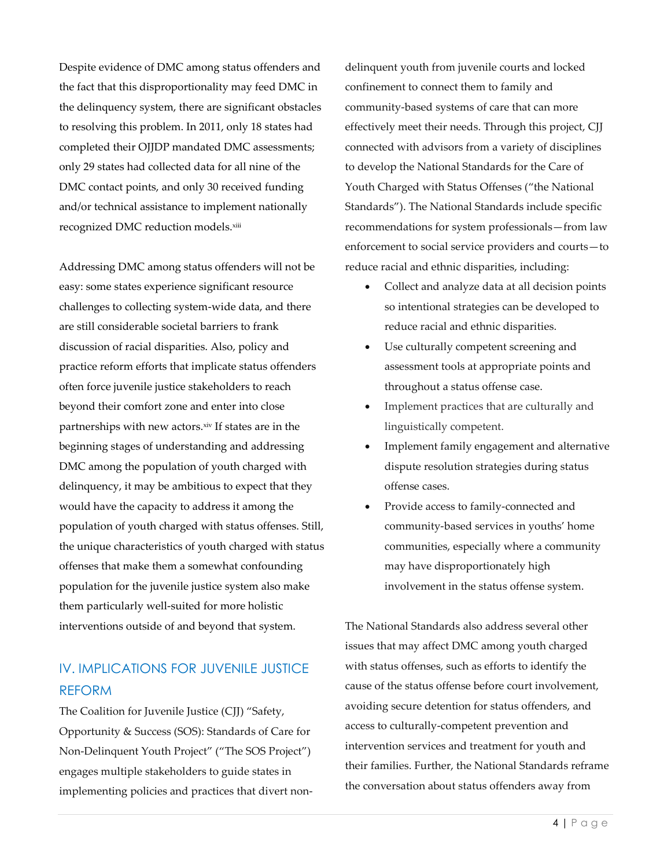Despite evidence of DMC among status offenders and the fact that this disproportionality may feed DMC in the delinquency system, there are significant obstacles to resolving this problem. In 2011, only 18 states had completed their OJJDP mandated DMC assessments; only 29 states had collected data for all nine of the DMC contact points, and only 30 received funding and/or technical assistance to implement nationally recognized DMC reduction models.xiii

Addressing DMC among status offenders will not be easy: some states experience significant resource challenges to collecting system-wide data, and there are still considerable societal barriers to frank discussion of racial disparities. Also, policy and practice reform efforts that implicate status offenders often force juvenile justice stakeholders to reach beyond their comfort zone and enter into close partnerships with new actors.xiv If states are in the beginning stages of understanding and addressing DMC among the population of youth charged with delinquency, it may be ambitious to expect that they would have the capacity to address it among the population of youth charged with status offenses. Still, the unique characteristics of youth charged with status offenses that make them a somewhat confounding population for the juvenile justice system also make them particularly well-suited for more holistic interventions outside of and beyond that system.

## IV. IMPLICATIONS FOR JUVENILE JUSTICE REFORM

The Coalition for Juvenile Justice (CJJ) "Safety, Opportunity & Success (SOS): Standards of Care for Non-Delinquent Youth Project" ("The SOS Project") engages multiple stakeholders to guide states in implementing policies and practices that divert nondelinquent youth from juvenile courts and locked confinement to connect them to family and community-based systems of care that can more effectively meet their needs. Through this project, CJJ connected with advisors from a variety of disciplines to develop the National Standards for the Care of Youth Charged with Status Offenses ("the National Standards"). The National Standards include specific recommendations for system professionals—from law enforcement to social service providers and courts—to reduce racial and ethnic disparities, including:

- Collect and analyze data at all decision points so intentional strategies can be developed to reduce racial and ethnic disparities.
- Use culturally competent screening and assessment tools at appropriate points and throughout a status offense case.
- Implement practices that are culturally and linguistically competent.
- Implement family engagement and alternative dispute resolution strategies during status offense cases.
- Provide access to family-connected and community-based services in youths' home communities, especially where a community may have disproportionately high involvement in the status offense system.

The National Standards also address several other issues that may affect DMC among youth charged with status offenses, such as efforts to identify the cause of the status offense before court involvement, avoiding secure detention for status offenders, and access to culturally-competent prevention and intervention services and treatment for youth and their families. Further, the National Standards reframe the conversation about status offenders away from